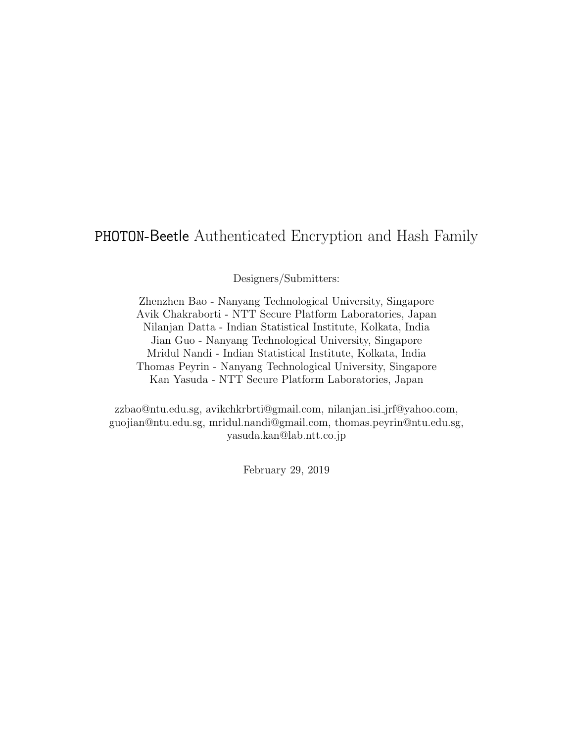### PHOTON-Beetle Authenticated Encryption and Hash Family

Designers/Submitters:

Zhenzhen Bao - Nanyang Technological University, Singapore Avik Chakraborti - NTT Secure Platform Laboratories, Japan Nilanjan Datta - Indian Statistical Institute, Kolkata, India Jian Guo - Nanyang Technological University, Singapore Mridul Nandi - Indian Statistical Institute, Kolkata, India Thomas Peyrin - Nanyang Technological University, Singapore Kan Yasuda - NTT Secure Platform Laboratories, Japan

zzbao@ntu.edu.sg, avikchkrbrti@gmail.com, nilanjan isi jrf@yahoo.com, guojian@ntu.edu.sg, mridul.nandi@gmail.com, thomas.peyrin@ntu.edu.sg, yasuda.kan@lab.ntt.co.jp

February 29, 2019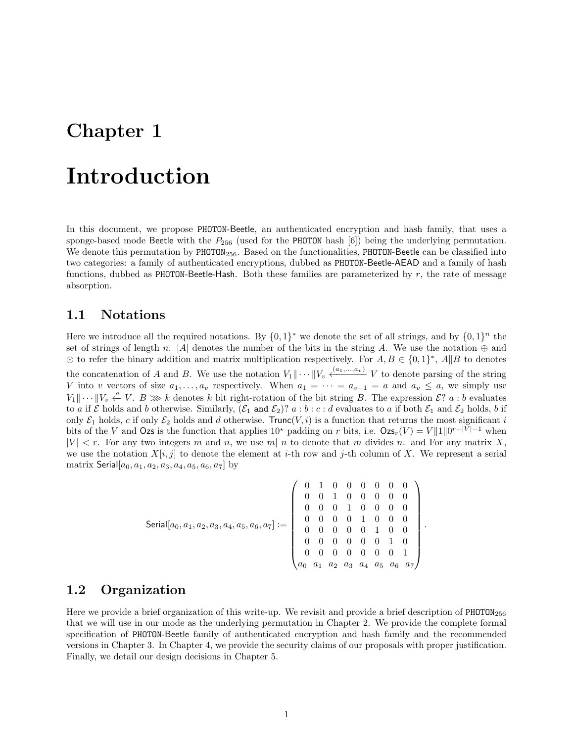## Introduction

In this document, we propose PHOTON-Beetle, an authenticated encryption and hash family, that uses a sponge-based mode Beetle with the  $P_{256}$  (used for the PHOTON hash [6]) being the underlying permutation. We denote this permutation by  $PHOTON<sub>256</sub>$ . Based on the functionalities, PHOTON-Beetle can be classified into two categories: a family of authenticated encryptions, dubbed as PHOTON-Beetle-AEAD and a family of hash functions, dubbed as **PHOTON-Beetle-Hash**. Both these families are parameterized by  $r$ , the rate of message absorption.

#### 1.1 Notations

Here we introduce all the required notations. By  $\{0,1\}^*$  we denote the set of all strings, and by  $\{0,1\}^n$  the set of strings of length n. |A| denotes the number of the bits in the string A. We use the notation  $\oplus$  and  $\odot$  to refer the binary addition and matrix multiplication respectively. For  $A, B \in \{0, 1\}^*, A \| B$  to denotes the concatenation of A and B. We use the notation  $V_1 \| \cdots \| V_v \stackrel{(a_1,...,a_v)}{\longleftarrow} V$  to denote parsing of the string V into v vectors of size  $a_1, \ldots, a_v$  respectively. When  $a_1 = \cdots = a_{v-1} = a$  and  $a_v \leq a$ , we simply use  $V_1 \| \cdots \| V_v \stackrel{a}{\leftarrow} V$ .  $B \ggg k$  denotes k bit right-rotation of the bit string B. The expression  $\mathcal{E}$ ?  $a : b$  evaluates to a if  $\mathcal E$  holds and b otherwise. Similarly,  $(\mathcal E_1$  and  $\mathcal E_2)$ ?  $a:b:c:d$  evaluates to a if both  $\mathcal E_1$  and  $\mathcal E_2$  holds, b if only  $\mathcal{E}_1$  holds, c if only  $\mathcal{E}_2$  holds and d otherwise. Trunc(V, i) is a function that returns the most significant i bits of the V and Ozs is the function that applies  $10^*$  padding on r bits, i.e.  $\text{Ozs}_r(V) = V ||1||0^{r-|V|-1}$  when  $|V| < r$ . For any two integers m and n, we use m| n to denote that m divides n. and For any matrix X, we use the notation  $X[i, j]$  to denote the element at i-th row and j-th column of X. We represent a serial matrix Serial $[a_0, a_1, a_2, a_3, a_4, a_5, a_6, a_7]$  by

$$
\textsf{Serial}[a_0, a_1, a_2, a_3, a_4, a_5, a_6, a_7] := \left( \begin{array}{cccccc} 0 & 1 & 0 & 0 & 0 & 0 & 0 & 0 \\ 0 & 0 & 1 & 0 & 0 & 0 & 0 & 0 \\ 0 & 0 & 0 & 1 & 0 & 0 & 0 & 0 \\ 0 & 0 & 0 & 0 & 1 & 0 & 0 & 0 \\ 0 & 0 & 0 & 0 & 0 & 1 & 0 & 0 \\ 0 & 0 & 0 & 0 & 0 & 0 & 1 & 0 \\ 0 & 0 & 0 & 0 & 0 & 0 & 0 & 1 \\ a_0 & a_1 & a_2 & a_3 & a_4 & a_5 & a_6 & a_7 \end{array} \right).
$$

### 1.2 Organization

Here we provide a brief organization of this write-up. We revisit and provide a brief description of PHOTON<sub>256</sub> that we will use in our mode as the underlying permutation in Chapter 2. We provide the complete formal specification of PHOTON-Beetle family of authenticated encryption and hash family and the recommended versions in Chapter 3. In Chapter 4, we provide the security claims of our proposals with proper justification. Finally, we detail our design decisions in Chapter 5.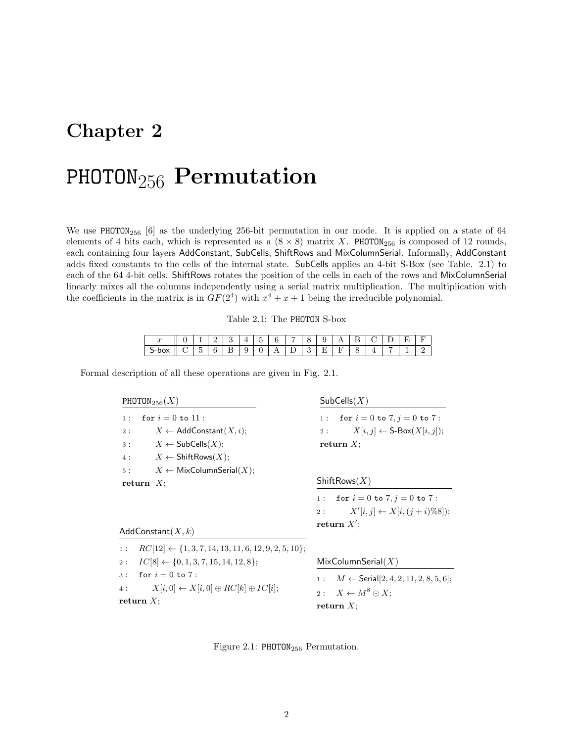## PHOTON<sub>256</sub> Permutation

We use PHOTON<sub>256</sub> [6] as the underlying 256-bit permutation in our mode. It is applied on a state of 64 elements of 4 bits each, which is represented as a  $(8 \times 8)$  matrix X. PHOTON<sub>256</sub> is composed of 12 rounds, each containing four layers AddConstant, SubCells, ShiftRows and MixColumnSerial. Informally, AddConstant adds fixed constants to the cells of the internal state. SubCells applies an 4-bit S-Box (see Table. 2.1) to each of the 64 4-bit cells. ShiftRows rotates the position of the cells in each of the rows and MixColumnSerial linearly mixes all the columns independently using a serial matrix multiplication. The multiplication with the coefficients in the matrix is in  $GF(2<sup>4</sup>)$  with  $x<sup>4</sup> + x + 1$  being the irreducible polynomial.

| $\boldsymbol{\cdot}$ |   | ᅩ | ∸ |   | -<br><b>.</b> | $\overline{\phantom{0}}$<br>ີ | ÷   |                     | . . |   |        |  |                          | - |  |
|----------------------|---|---|---|---|---------------|-------------------------------|-----|---------------------|-----|---|--------|--|--------------------------|---|--|
| --<br>. .<br>$\sim$  | - | - |   | - | ັ             | ັ                             | . . | <b>Service</b><br>- | ິ   | - | $\sim$ |  | $\overline{\phantom{a}}$ |   |  |

Formal description of all these operations are given in Fig. 2.1.

PHOTON<sub>256</sub> $(X)$ 1 : for  $i = 0$  to 11 : 2 :  $X \leftarrow \text{AddConstant}(X, i);$  $3: X \leftarrow$  SubCells $(X);$ 4 :  $X \leftarrow \mathsf{ShiftRows}(X);$ 5 :  $X \leftarrow \text{MixColumnSerial}(X);$ return  $X$ ; AddConstant $(X, k)$ 1 :  $RC[12] \leftarrow \{1, 3, 7, 14, 13, 11, 6, 12, 9, 2, 5, 10\};$ 2 :  $IC[8] \leftarrow \{0, 1, 3, 7, 15, 14, 12, 8\};$ 3 : for  $i = 0$  to 7 : 4 :  $X[i, 0] \leftarrow X[i, 0] \oplus RC[k] \oplus IC[i];$ return  $X$ ;  $SubCells(X)$ 1 : for  $i = 0$  to  $7, j = 0$  to  $7$  : 2 :  $X[i, j] \leftarrow S\text{-Box}(X[i, j]);$ return  $X$ ;  $ShiftRows(X)$ 1 : for  $i = 0$  to 7,  $j = 0$  to 7 :  $2:$  $'[i, j] \leftarrow X[i, (j + i)\%8]$ ; return  $X'$ ;  $MixColumnSerial(X)$ 1 :  $M \leftarrow$  Serial [2, 4, 2, 11, 2, 8, 5, 6]; 2:  $X \leftarrow M^8 \odot X;$ return  $X$ ;

Figure 2.1: PHOTON<sub>256</sub> Permutation.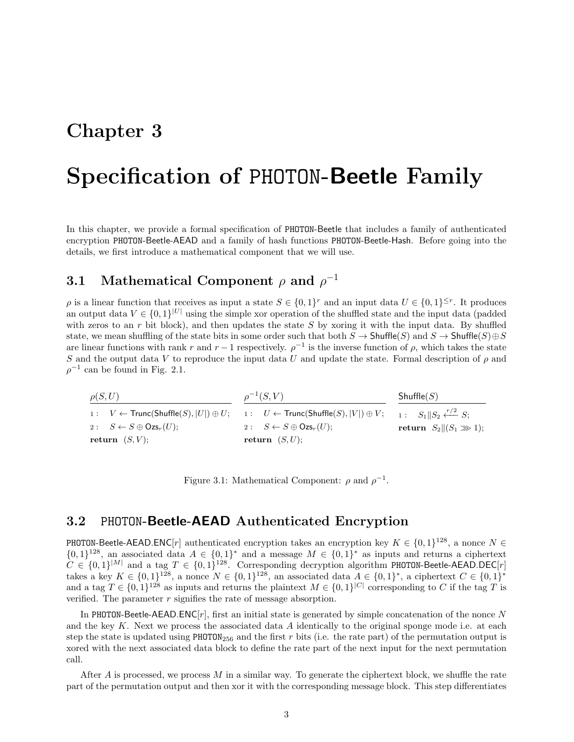## Specification of PHOTON-Beetle Family

In this chapter, we provide a formal specification of PHOTON-Beetle that includes a family of authenticated encryption PHOTON-Beetle-AEAD and a family of hash functions PHOTON-Beetle-Hash. Before going into the details, we first introduce a mathematical component that we will use.

### **3.1** Mathematical Component  $\rho$  and  $\rho^{-1}$

 $\rho$  is a linear function that receives as input a state  $S \in \{0,1\}^r$  and an input data  $U \in \{0,1\}^{\leq r}$ . It produces an output data  $V \in \{0,1\}^{|U|}$  using the simple xor operation of the shuffled state and the input data (padded with zeros to an  $r$  bit block), and then updates the state  $S$  by xoring it with the input data. By shuffled state, we mean shuffling of the state bits in some order such that both  $S \to$  Shuffle(S) and  $S \to$  Shuffle(S) $\oplus S$ are linear functions with rank r and  $r-1$  respectively.  $\rho^{-1}$  is the inverse function of  $\rho$ , which takes the state S and the output data V to reproduce the input data U and update the state. Formal description of  $\rho$  and  $\rho^{-1}$  can be found in Fig. 2.1.

| $\rho(S, U)$                                  | $\rho^{-1}(S, V)$                                                                                                                                                               | Shuffle(S)                           |
|-----------------------------------------------|---------------------------------------------------------------------------------------------------------------------------------------------------------------------------------|--------------------------------------|
|                                               | 1: $V \leftarrow \text{Trunc}(\text{Shuffle}(S),  U ) \oplus U;$ 1: $U \leftarrow \text{Trunc}(\text{Shuffle}(S),  V ) \oplus V;$ 1: $S_1    S_2 \stackrel{r/2}{\leftarrow} S;$ |                                      |
| 2: $S \leftarrow S \oplus \mathsf{Ozs}_r(U);$ | 2: $S \leftarrow S \oplus \mathsf{Ozs}_r(U);$                                                                                                                                   | return $S_2 \parallel (S_1 \ggg 1);$ |
| return $(S, V)$ ;                             | return $(S, U)$ ;                                                                                                                                                               |                                      |

Figure 3.1: Mathematical Component:  $\rho$  and  $\rho^{-1}$ .

### 3.2 PHOTON-Beetle-AEAD Authenticated Encryption

PHOTON-Beetle-AEAD.ENC[r] authenticated encryption takes an encryption key  $K \in \{0,1\}^{128}$ , a nonce  $N \in$  ${0, 1}^{128}$ , an associated data  $A \in {0, 1}^*$  and a message  $M \in {0, 1}^*$  as inputs and returns a ciphertext  $C \in \{0,1\}^{|M|}$  and a tag  $T \in \{0,1\}^{128}$ . Corresponding decryption algorithm PHOTON-Beetle-AEAD.DEC[r] takes a key  $K \in \{0,1\}^{128}$ , a nonce  $N \in \{0,1\}^{128}$ , an associated data  $A \in \{0,1\}^*$ , a ciphertext  $C \in \{0,1\}^*$ and a tag  $T \in \{0,1\}^{128}$  as inputs and returns the plaintext  $M \in \{0,1\}^{|C|}$  corresponding to C if the tag T is verified. The parameter  $r$  signifies the rate of message absorption.

In PHOTON-Beetle-AEAD.ENC $[r]$ , first an initial state is generated by simple concatenation of the nonce N and the key  $K$ . Next we process the associated data  $A$  identically to the original sponge mode i.e. at each step the state is updated using PHOTON<sub>256</sub> and the first r bits (i.e. the rate part) of the permutation output is xored with the next associated data block to define the rate part of the next input for the next permutation call.

After  $A$  is processed, we process  $M$  in a similar way. To generate the ciphertext block, we shuffle the rate part of the permutation output and then xor it with the corresponding message block. This step differentiates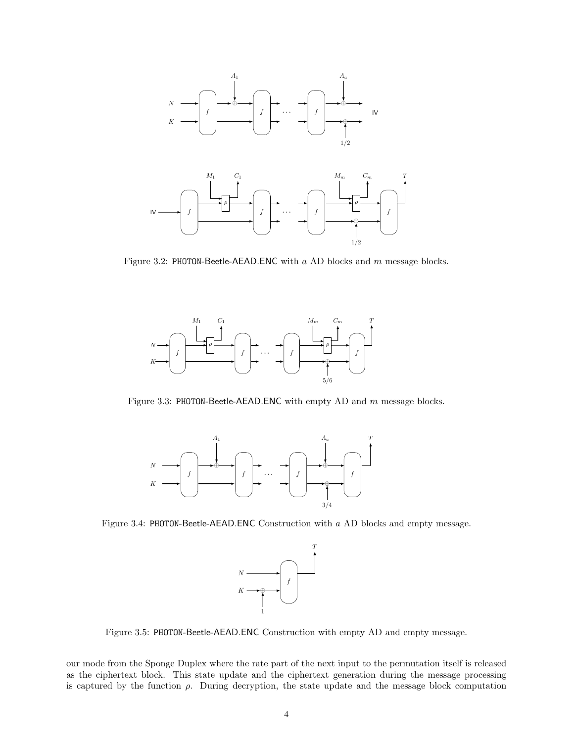

Figure 3.2: PHOTON-Beetle-AEAD.ENC with a AD blocks and m message blocks.



Figure 3.3: PHOTON-Beetle-AEAD.ENC with empty AD and  $m$  message blocks.



Figure 3.4: PHOTON-Beetle-AEAD.ENC Construction with a AD blocks and empty message.



Figure 3.5: PHOTON-Beetle-AEAD.ENC Construction with empty AD and empty message.

our mode from the Sponge Duplex where the rate part of the next input to the permutation itself is released as the ciphertext block. This state update and the ciphertext generation during the message processing is captured by the function  $\rho$ . During decryption, the state update and the message block computation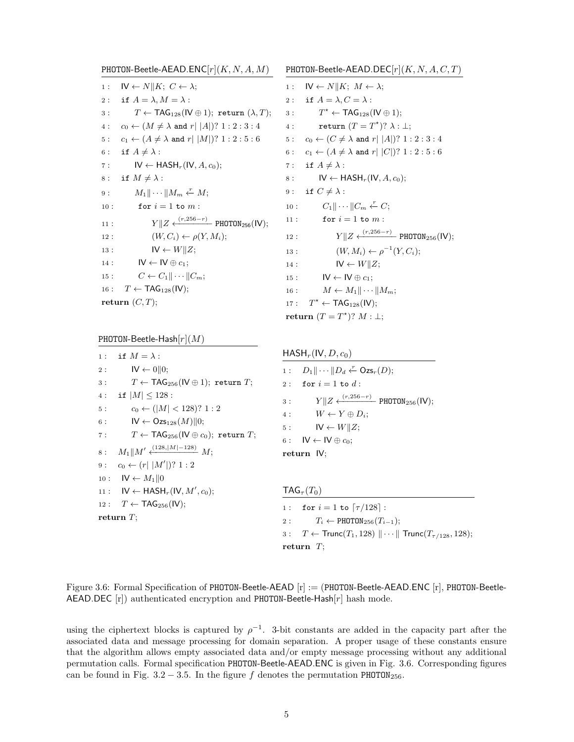PHOTON-Beetle-AEAD.ENC $[r](K, N, A, M)$ 1 :  $\mathsf{IV} \leftarrow N || K : C \leftarrow \lambda$ ; 2: if  $A = \lambda$ ,  $M = \lambda$ :  $3: T \leftarrow \textsf{TAG}_{128}(\textsf{IV} \oplus 1); \text{ return } (\lambda, T);$ 4 :  $c_0 \leftarrow (M \neq \lambda \text{ and } r | |A|)? 1 : 2 : 3 : 4$ 5:  $c_1 \leftarrow (A \neq \lambda \text{ and } r | M|)? 1 : 2 : 5 : 6$ 6: if  $A \neq \lambda$ : 7 :  $IV \leftarrow \text{HASH}_r(V, A, c_0);$ 8: if  $M \neq \lambda$ : 9 :  $M_1 \|\cdots \| M_m \stackrel{r}{\leftarrow} M;$ 10 : for  $i = 1$  to  $m$  : 11 :  $Y||Z \xleftarrow{(r,256-r)} \text{PHOTON}_{256}(\text{IV});$ 12 :  $(W, C_i) \leftarrow \rho(Y, M_i);$ 13 :  $\qquad \qquad \mathsf{IV} \leftarrow W \parallel Z;$ 14 :  $IV \leftarrow IV \oplus c_1;$ 15 :  $C \leftarrow C_1 || \cdots || C_m;$ 16 :  $T \leftarrow \text{TAG}_{128}(\text{IV});$ return  $(C, T)$ ;

PHOTON-Beetle-Hash $[r](M)$ 

1 : if  $M = \lambda$  :  $2: \qquad \text{IV} \leftarrow 0 \parallel 0;$  $3: T \leftarrow \text{TAG}_{256}(\text{IV} \oplus 1); \text{ return } T;$ 4 : if  $|M| \le 128$  : 5 :  $c_0 \leftarrow (|M| < 128)$ ? 1 : 2 6 :  $\mathsf{IV} \leftarrow \mathsf{Ozs}_{128}(M) \parallel 0;$ 7 :  $T \leftarrow \text{TAG}_{256}(\text{IV} \oplus c_0); \text{ return } T;$ 8 :  $M_1||M' \xleftarrow{(128,|M|-128)} M;$ 9:  $c_0 \leftarrow (r || M' || ? 1 : 2)$  $10: \quad W \leftarrow M_1 || 0$ 11 :  $\mathsf{IV} \leftarrow \mathsf{HASH}_r(\mathsf{IV}, M', c_0);$  $12: T \leftarrow \text{TAG}_{256}(\text{IV});$ return T;

PHOTON-Beetle-AEAD.DEC $[r](K, N, A, C, T)$ 1 :  $\mathsf{IV} \leftarrow N \parallel K; M \leftarrow \lambda;$ 2: if  $A = \lambda, C = \lambda$ :  $3:$  $T^* \leftarrow \text{TAG}_{128}(\text{IV} \oplus 1);$ 4: return  $(T = T^*)$ ?  $\lambda : \bot;$ 5 :  $c_0 \leftarrow (C \neq \lambda \text{ and } r | |A| ) ? 1 : 2 : 3 : 4$ 6 :  $c_1 \leftarrow (A \neq \lambda \text{ and } r | |C|)? 1 : 2 : 5 : 6$ 7: if  $A \neq \lambda$ : 8 :  $IV \leftarrow HASH_r(IV, A, c_0);$ 9: if  $C \neq \lambda$ : 10 :  $C_1 \| \cdots \| C_m \stackrel{r}{\leftarrow} C;$ 11 : for  $i = 1$  to  $m$  : 12 :  $Y||Z \xleftarrow{(r,256-r)} \text{PHOTON}_{256}(\text{IV});$ 13 :  $(W, M_i) \leftarrow \rho^{-1}(Y, C_i);$ 14 :  $\mathsf{IV} \leftarrow W||Z;$ 15 :  $IV \leftarrow IV \oplus c_1$ ; 16 :  $M \leftarrow M_1 || \cdots || M_m;$ 17 :  $T^* \leftarrow \text{TAG}_{128}(\text{IV});$ return  $(T = T^*)$ ?  $M : \bot$ ;

```
HASH_r(IV, D, c_0)
```
1 :  $D_1 || \cdots || D_d \stackrel{r}{\leftarrow} \mathsf{Ozs}_r(D);$ 2 : for  $i = 1$  to  $d$  : 3 :  $Y||Z \xleftarrow{(r,256-r)}$  PHOTON<sub>256</sub>(IV); 4 :  $W \leftarrow Y \oplus D_i$ ; 5 :  $\mathsf{IV} \leftarrow W||Z;$ 6 :  $\mathsf{IV} \leftarrow \mathsf{IV} \oplus c_0;$ return IV;

 $TAG_{\tau}(T_0)$ 

1 : for  $i = 1$  to  $\lceil \tau / 128 \rceil$  : 2 :  $T_i \leftarrow \text{PHOTON}_{256}(T_{i-1});$ 3 :  $T \leftarrow \text{Trunc}(T_1, 128) \|\cdots\| \text{Trunc}(T_{\tau/128}, 128);$ return  $T$ ;

Figure 3.6: Formal Specification of PHOTON-Beetle-AEAD [r] := (PHOTON-Beetle-AEAD.ENC [r], PHOTON-Beetle-AEAD.DEC  $[r]$ ) authenticated encryption and PHOTON-Beetle-Hash $[r]$  hash mode.

using the ciphertext blocks is captured by  $\rho^{-1}$ . 3-bit constants are added in the capacity part after the associated data and message processing for domain separation. A proper usage of these constants ensure that the algorithm allows empty associated data and/or empty message processing without any additional permutation calls. Formal specification PHOTON-Beetle-AEAD.ENC is given in Fig. 3.6. Corresponding figures can be found in Fig. 3.2 – 3.5. In the figure f denotes the permutation PHOTON<sub>256</sub>.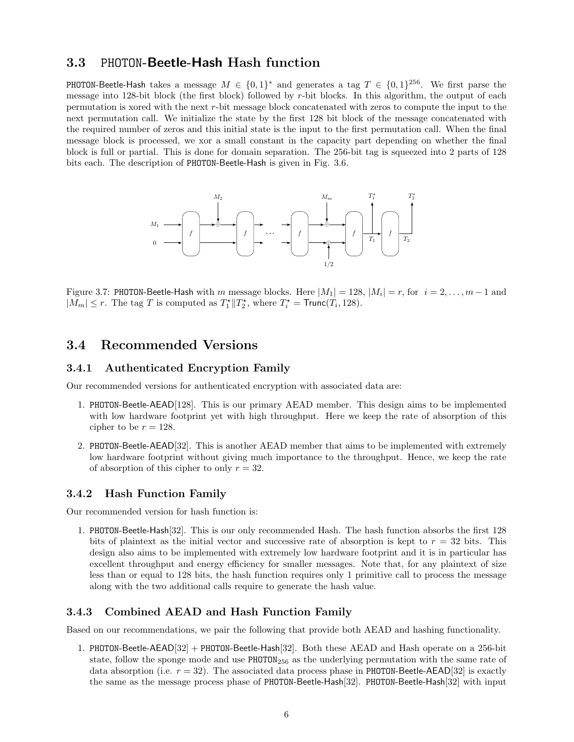#### 3.3 PHOTON-Beetle-Hash Hash function

**PHOTON-Beetle-Hash** takes a message  $M \in \{0,1\}^*$  and generates a tag  $T \in \{0,1\}^{256}$ . We first parse the message into 128-bit block (the first block) followed by r-bit blocks. In this algorithm, the output of each permutation is xored with the next r-bit message block concatenated with zeros to compute the input to the next permutation call. We initialize the state by the first 128 bit block of the message concatenated with the required number of zeros and this initial state is the input to the first permutation call. When the final message block is processed, we xor a small constant in the capacity part depending on whether the final block is full or partial. This is done for domain separation. The 256-bit tag is squeezed into 2 parts of 128 bits each. The description of PHOTON-Beetle-Hash is given in Fig. 3.6.



Figure 3.7: PHOTON-Beetle-Hash with m message blocks. Here  $|M_1| = 128$ ,  $|M_i| = r$ , for  $i = 2, ..., m - 1$  and  $|M_m| \le r$ . The tag T is computed as  $T_1^* || T_2^*$ , where  $T_i^* = \text{Trunc}(T_i, 128)$ .

#### 3.4 Recommended Versions

#### 3.4.1 Authenticated Encryption Family

Our recommended versions for authenticated encryption with associated data are:

- 1. PHOTON-Beetle-AEAD[128]. This is our primary AEAD member. This design aims to be implemented with low hardware footprint yet with high throughput. Here we keep the rate of absorption of this cipher to be  $r = 128$ .
- 2. PHOTON-Beetle-AEAD[32]. This is another AEAD member that aims to be implemented with extremely low hardware footprint without giving much importance to the throughput. Hence, we keep the rate of absorption of this cipher to only  $r = 32$ .

#### 3.4.2 Hash Function Family

Our recommended version for hash function is:

1. PHOTON-Beetle-Hash[32]. This is our only recommended Hash. The hash function absorbs the first 128 bits of plaintext as the initial vector and successive rate of absorption is kept to  $r = 32$  bits. This design also aims to be implemented with extremely low hardware footprint and it is in particular has excellent throughput and energy efficiency for smaller messages. Note that, for any plaintext of size less than or equal to 128 bits, the hash function requires only 1 primitive call to process the message along with the two additional calls require to generate the hash value.

#### 3.4.3 Combined AEAD and Hash Function Family

Based on our recommendations, we pair the following that provide both AEAD and hashing functionality.

1. PHOTON-Beetle-AEAD[32] + PHOTON-Beetle-Hash[32]. Both these AEAD and Hash operate on a 256-bit state, follow the sponge mode and use  $PHOTON<sub>256</sub>$  as the underlying permutation with the same rate of data absorption (i.e.  $r = 32$ ). The associated data process phase in PHOTON-Beetle-AEAD[32] is exactly the same as the message process phase of PHOTON-Beetle-Hash[32]. PHOTON-Beetle-Hash[32] with input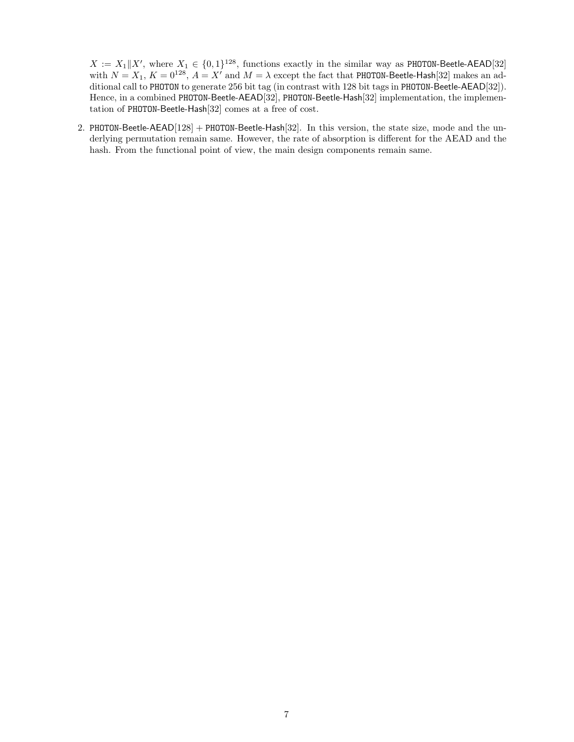$X := X_1 \| X'$ , where  $X_1 \in \{0, 1\}^{128}$ , functions exactly in the similar way as PHOTON-Beetle-AEAD[32] with  $N = X_1, K = 0^{128}, A = X'$  and  $M = \lambda$  except the fact that PHOTON-Beetle-Hash[32] makes an additional call to PHOTON to generate 256 bit tag (in contrast with 128 bit tags in PHOTON-Beetle-AEAD[32]). Hence, in a combined PHOTON-Beetle-AEAD[32], PHOTON-Beetle-Hash[32] implementation, the implementation of PHOTON-Beetle-Hash[32] comes at a free of cost.

2. PHOTON-Beetle-AEAD[128] + PHOTON-Beetle-Hash[32]. In this version, the state size, mode and the underlying permutation remain same. However, the rate of absorption is different for the AEAD and the hash. From the functional point of view, the main design components remain same.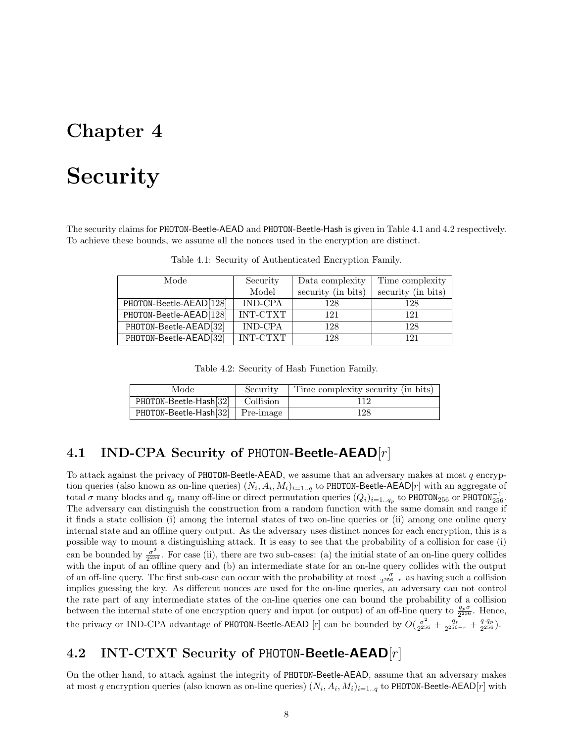## Security

The security claims for PHOTON-Beetle-AEAD and PHOTON-Beetle-Hash is given in Table 4.1 and 4.2 respectively. To achieve these bounds, we assume all the nonces used in the encryption are distinct.

| Mode                    | Security        | Data complexity    | Time complexity    |  |  |
|-------------------------|-----------------|--------------------|--------------------|--|--|
|                         | Model           | security (in bits) | security (in bits) |  |  |
| PHOTON-Beetle-AEAD[128] | IND-CPA         | 128                | 128                |  |  |
| PHOTON-Beetle-AEAD[128] | <b>INT-CTXT</b> | 121                | 121                |  |  |
| PHOTON-Beetle-AEAD[32]  | IND-CPA         | 128                | 128                |  |  |
| PHOTON-Beetle-AEAD[32]  | <b>INT-CTXT</b> | 128                | 121                |  |  |

Table 4.1: Security of Authenticated Encryption Family.

Table 4.2: Security of Hash Function Family.

| Mode                               | Security | Time complexity security (in bits) |  |  |  |
|------------------------------------|----------|------------------------------------|--|--|--|
| PHOTON-Beetle-Hash[32]   Collision |          |                                    |  |  |  |
| PHOTON-Beetle-Hash[32] Pre-image   |          | 128                                |  |  |  |

### 4.1 IND-CPA Security of PHOTON-Beetle-AEAD $[r]$

To attack against the privacy of PHOTON-Beetle-AEAD, we assume that an adversary makes at most  $q$  encryption queries (also known as on-line queries)  $(N_i, A_i, M_i)_{i=1..q}$  to PHOTON-Beetle-AEAD[r] with an aggregate of total  $\sigma$  many blocks and  $q_p$  many off-line or direct permutation queries  $(Q_i)_{i=1..q_p}$  to PHOTON<sub>256</sub> or PHOTON<sub>256</sub>. The adversary can distinguish the construction from a random function with the same domain and range if it finds a state collision (i) among the internal states of two on-line queries or (ii) among one online query internal state and an offline query output. As the adversary uses distinct nonces for each encryption, this is a possible way to mount a distinguishing attack. It is easy to see that the probability of a collision for case (i) can be bounded by  $\frac{\sigma^2}{2^{25}}$  $\frac{\sigma^2}{2^{256}}$ . For case (ii), there are two sub-cases: (a) the initial state of an on-line query collides with the input of an offline query and (b) an intermediate state for an on-lne query collides with the output of an off-line query. The first sub-case can occur with the probability at most  $\frac{\sigma}{2^{256-r}}$  as having such a collision implies guessing the key. As different nonces are used for the on-line queries, an adversary can not control the rate part of any intermediate states of the on-line queries one can bound the probability of a collision between the internal state of one encryption query and input (or output) of an off-line query to  $\frac{q_p\sigma}{2^{256}}$ . Hence, the privacy or IND-CPA advantage of PHOTON-Beetle-AEAD [r] can be bounded by  $O(\frac{\sigma^2}{2^{25}})$  $\frac{\sigma^2}{2^{256}}+\frac{q_p}{2^{256}}$  $\frac{q_p}{2^{256-r}} + \frac{q.q_p}{2^{256}}$  $\frac{q.q_p}{2^{256}}).$ 

### 4.2 INT-CTXT Security of PHOTON-Beetle-AEAD[r]

On the other hand, to attack against the integrity of PHOTON-Beetle-AEAD, assume that an adversary makes at most q encryption queries (also known as on-line queries)  $(N_i, A_i, M_i)_{i=1..q}$  to PHOTON-Beetle-AEAD $[r]$  with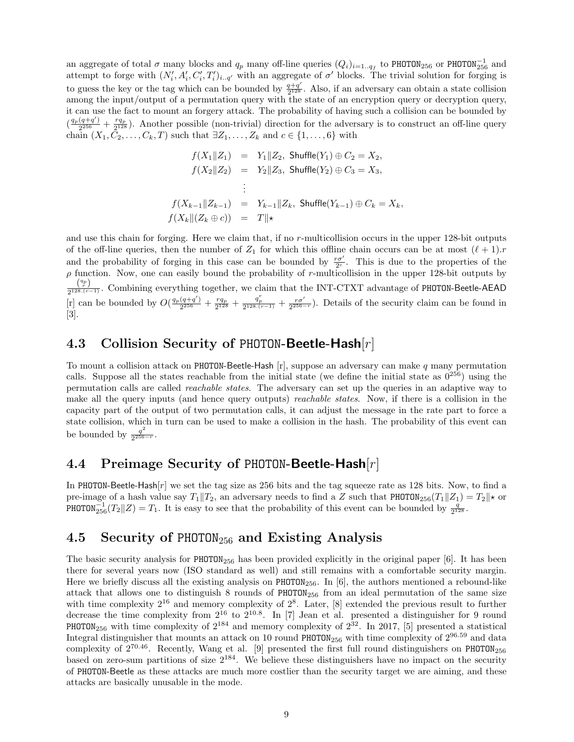an aggregate of total  $\sigma$  many blocks and  $q_p$  many off-line queries  $(Q_i)_{i=1..q_f}$  to PHOTON<sub>256</sub> or PHOTON<sup>-1</sup><sub>256</sub> and attempt to forge with  $(N'_i, A'_i, C'_i, T'_i)_{i..q'}$  with an aggregate of  $\sigma'$  blocks. The trivial solution for forging is to guess the key or the tag which can be bounded by  $\frac{q+q'}{2^{128}}$  $\frac{q+q}{2^{128}}$ . Also, if an adversary can obtain a state collision among the input/output of a permutation query with the state of an encryption query or decryption query, it can use the fact to mount an forgery attack. The probability of having such a collision can be bounded by  $\left(\frac{q_p(q+q')}{2^{256}}\right)$  $\frac{(q+q')}{2^{256}} + \frac{rq_p}{2^{128}}$  $\frac{rq_p}{2^{128}}$ ). Another possible (non-trivial) direction for the adversary is to construct an off-line query chain  $(X_1, \bar{C}_2, \ldots, C_k, T)$  such that  $\exists Z_1, \ldots, Z_k$  and  $c \in \{1, \ldots, 6\}$  with

$$
f(X_1 \| Z_1) = Y_1 \| Z_2, \text{ Shuffle}(Y_1) \oplus C_2 = X_2,
$$
  
\n
$$
f(X_2 \| Z_2) = Y_2 \| Z_3, \text{ Shuffle}(Y_2) \oplus C_3 = X_3,
$$
  
\n
$$
\vdots
$$
  
\n
$$
f(X_{k-1} \| Z_{k-1}) = Y_{k-1} \| Z_k, \text{ Shuffle}(Y_{k-1}) \oplus C_k = X_k,
$$
  
\n
$$
f(X_k \| (Z_k \oplus c)) = T \| \star
$$

and use this chain for forging. Here we claim that, if no r-multicollision occurs in the upper 128-bit outputs of the off-line queries, then the number of  $Z_1$  for which this offline chain occurs can be at most  $(\ell + 1)$ . and the probability of forging in this case can be bounded by  $\frac{r\sigma'}{2c}$ . This is due to the properties of the  $\rho$  function. Now, one can easily bound the probability of r-multicollision in the upper 128-bit outputs by  $\binom{q_p}{r}$  $\frac{\binom{r}{2} \binom{r}{2}}{2^{128.(r-1)}}$ . Combining everything together, we claim that the INT-CTXT advantage of PHOTON-Beetle-AEAD [r] can be bounded by  $O(\frac{q_p(q+q')}{2^{256}})$  $\frac{(q+q')}{2^{256}}+\frac{rq_p}{2^{128}}$  $\frac{r q_p}{2^{128}} + \frac{q_p^r}{2^{128.(r-1)}} + \frac{r \sigma'}{2^{256-r}}$ . Details of the security claim can be found in [3].

### 4.3 Collision Security of PHOTON-Beetle-Hash[r]

To mount a collision attack on PHOTON-Beetle-Hash  $[r]$ , suppose an adversary can make  $q$  many permutation calls. Suppose all the states reachable from the initial state (we define the initial state as  $0^{256}$ ) using the permutation calls are called reachable states. The adversary can set up the queries in an adaptive way to make all the query inputs (and hence query outputs) reachable states. Now, if there is a collision in the capacity part of the output of two permutation calls, it can adjust the message in the rate part to force a state collision, which in turn can be used to make a collision in the hash. The probability of this event can be bounded by  $\frac{q^2}{2^{256}}$  $\frac{q}{2^{256-r}}$ .

### 4.4 Preimage Security of PHOTON-Beetle-Hash[r]

In PHOTON-Beetle-Hash $[r]$  we set the tag size as 256 bits and the tag squeeze rate as 128 bits. Now, to find a pre-image of a hash value say  $T_1||T_2$ , an adversary needs to find a Z such that PHOTON<sub>256</sub> $(T_1||Z_1) = T_2||\star$  or **PHOTON**<sup>-1</sup><sub>256</sub> $(T_2||Z) = T_1$ . It is easy to see that the probability of this event can be bounded by  $\frac{q}{2^{128}}$ .

### 4.5 Security of PHOTON<sub>256</sub> and Existing Analysis

The basic security analysis for  $PHOTON<sub>256</sub>$  has been provided explicitly in the original paper [6]. It has been there for several years now (ISO standard as well) and still remains with a comfortable security margin. Here we briefly discuss all the existing analysis on  $PHOTON<sub>256</sub>$ . In [6], the authors mentioned a rebound-like attack that allows one to distinguish 8 rounds of  $PHOTON<sub>256</sub>$  from an ideal permutation of the same size with time complexity  $2^{16}$  and memory complexity of  $2^8$ . Later, [8] extended the previous result to further decrease the time complexity from  $2^{16}$  to  $2^{10.8}$ . In [7] Jean et al. presented a distinguisher for 9 round **PHOTON**<sub>256</sub> with time complexity of  $2^{184}$  and memory complexity of  $2^{32}$ . In 2017, [5] presented a statistical Integral distinguisher that mounts an attack on 10 round PHOTON<sub>256</sub> with time complexity of  $2^{96.59}$  and data complexity of  $2^{70.46}$ . Recently, Wang et al. [9] presented the first full round distinguishers on PHOTON<sub>256</sub> based on zero-sum partitions of size  $2^{184}$ . We believe these distinguishers have no impact on the security of PHOTON-Beetle as these attacks are much more costlier than the security target we are aiming, and these attacks are basically unusable in the mode.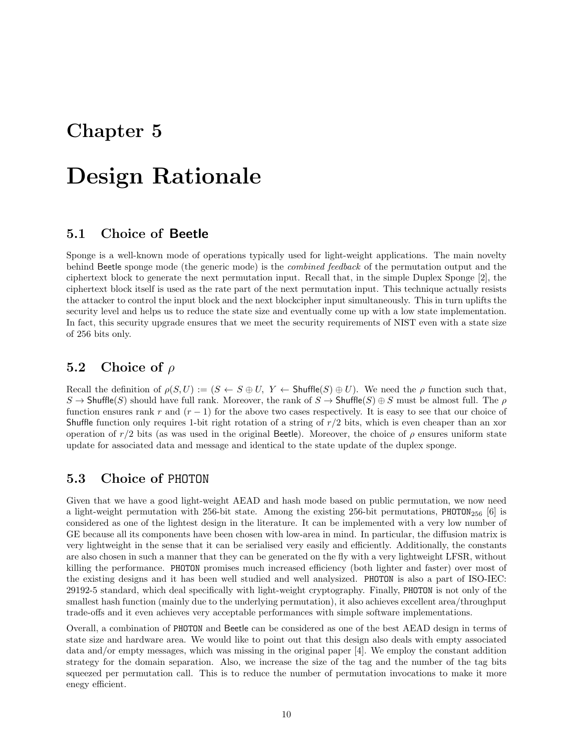## Design Rationale

### 5.1 Choice of Beetle

Sponge is a well-known mode of operations typically used for light-weight applications. The main novelty behind Beetle sponge mode (the generic mode) is the combined feedback of the permutation output and the ciphertext block to generate the next permutation input. Recall that, in the simple Duplex Sponge [2], the ciphertext block itself is used as the rate part of the next permutation input. This technique actually resists the attacker to control the input block and the next blockcipher input simultaneously. This in turn uplifts the security level and helps us to reduce the state size and eventually come up with a low state implementation. In fact, this security upgrade ensures that we meet the security requirements of NIST even with a state size of 256 bits only.

### 5.2 Choice of  $\rho$

Recall the definition of  $\rho(S, U) := (S \leftarrow S \oplus U, Y \leftarrow Shuffle(S) \oplus U)$ . We need the  $\rho$  function such that,  $S \to$  Shuffle(S) should have full rank. Moreover, the rank of  $S \to$  Shuffle(S)  $\oplus S$  must be almost full. The  $\rho$ function ensures rank r and  $(r - 1)$  for the above two cases respectively. It is easy to see that our choice of Shuffle function only requires 1-bit right rotation of a string of  $r/2$  bits, which is even cheaper than an xor operation of  $r/2$  bits (as was used in the original Beetle). Moreover, the choice of  $\rho$  ensures uniform state update for associated data and message and identical to the state update of the duplex sponge.

#### 5.3 Choice of PHOTON

Given that we have a good light-weight AEAD and hash mode based on public permutation, we now need a light-weight permutation with 256-bit state. Among the existing 256-bit permutations, PHOTON<sub>256</sub> [6] is considered as one of the lightest design in the literature. It can be implemented with a very low number of GE because all its components have been chosen with low-area in mind. In particular, the diffusion matrix is very lightweight in the sense that it can be serialised very easily and efficiently. Additionally, the constants are also chosen in such a manner that they can be generated on the fly with a very lightweight LFSR, without killing the performance. PHOTON promises much increased efficiency (both lighter and faster) over most of the existing designs and it has been well studied and well analysized. PHOTON is also a part of ISO-IEC: 29192-5 standard, which deal specifically with light-weight cryptography. Finally, PHOTON is not only of the smallest hash function (mainly due to the underlying permutation), it also achieves excellent area/throughput trade-offs and it even achieves very acceptable performances with simple software implementations.

Overall, a combination of PHOTON and Beetle can be considered as one of the best AEAD design in terms of state size and hardware area. We would like to point out that this design also deals with empty associated data and/or empty messages, which was missing in the original paper [4]. We employ the constant addition strategy for the domain separation. Also, we increase the size of the tag and the number of the tag bits squeezed per permutation call. This is to reduce the number of permutation invocations to make it more enegy efficient.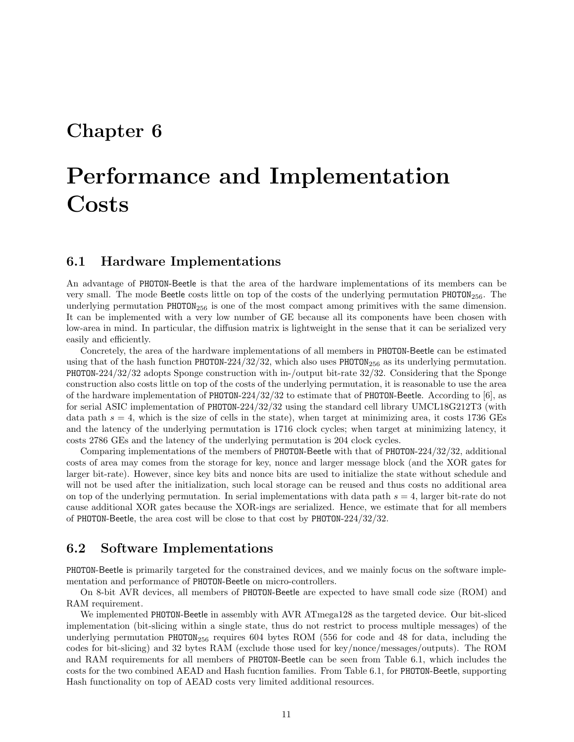# Performance and Implementation **Costs**

#### 6.1 Hardware Implementations

An advantage of PHOTON-Beetle is that the area of the hardware implementations of its members can be very small. The mode Beetle costs little on top of the costs of the underlying permutation  $PHOTON<sub>256</sub>$ . The underlying permutation  $PHOTON<sub>256</sub>$  is one of the most compact among primitives with the same dimension. It can be implemented with a very low number of GE because all its components have been chosen with low-area in mind. In particular, the diffusion matrix is lightweight in the sense that it can be serialized very easily and efficiently.

Concretely, the area of the hardware implementations of all members in PHOTON-Beetle can be estimated using that of the hash function PHOTON-224/32/32, which also uses PHOTON<sub>256</sub> as its underlying permutation. PHOTON-224/32/32 adopts Sponge construction with in-/output bit-rate 32/32. Considering that the Sponge construction also costs little on top of the costs of the underlying permutation, it is reasonable to use the area of the hardware implementation of PHOTON-224/32/32 to estimate that of PHOTON-Beetle. According to [6], as for serial ASIC implementation of PHOTON-224/32/32 using the standard cell library UMCL18G212T3 (with data path  $s = 4$ , which is the size of cells in the state), when target at minimizing area, it costs 1736 GEs and the latency of the underlying permutation is 1716 clock cycles; when target at minimizing latency, it costs 2786 GEs and the latency of the underlying permutation is 204 clock cycles.

Comparing implementations of the members of PHOTON-Beetle with that of PHOTON-224/32/32, additional costs of area may comes from the storage for key, nonce and larger message block (and the XOR gates for larger bit-rate). However, since key bits and nonce bits are used to initialize the state without schedule and will not be used after the initialization, such local storage can be reused and thus costs no additional area on top of the underlying permutation. In serial implementations with data path  $s = 4$ , larger bit-rate do not cause additional XOR gates because the XOR-ings are serialized. Hence, we estimate that for all members of PHOTON-Beetle, the area cost will be close to that cost by PHOTON-224/32/32.

#### 6.2 Software Implementations

PHOTON-Beetle is primarily targeted for the constrained devices, and we mainly focus on the software implementation and performance of PHOTON-Beetle on micro-controllers.

On 8-bit AVR devices, all members of PHOTON-Beetle are expected to have small code size (ROM) and RAM requirement.

We implemented PHOTON-Beetle in assembly with AVR ATmega128 as the targeted device. Our bit-sliced implementation (bit-slicing within a single state, thus do not restrict to process multiple messages) of the underlying permutation  $PHOTON<sub>256</sub>$  requires 604 bytes ROM (556 for code and 48 for data, including the codes for bit-slicing) and 32 bytes RAM (exclude those used for key/nonce/messages/outputs). The ROM and RAM requirements for all members of PHOTON-Beetle can be seen from Table 6.1, which includes the costs for the two combined AEAD and Hash fucntion families. From Table 6.1, for PHOTON-Beetle, supporting Hash functionality on top of AEAD costs very limited additional resources.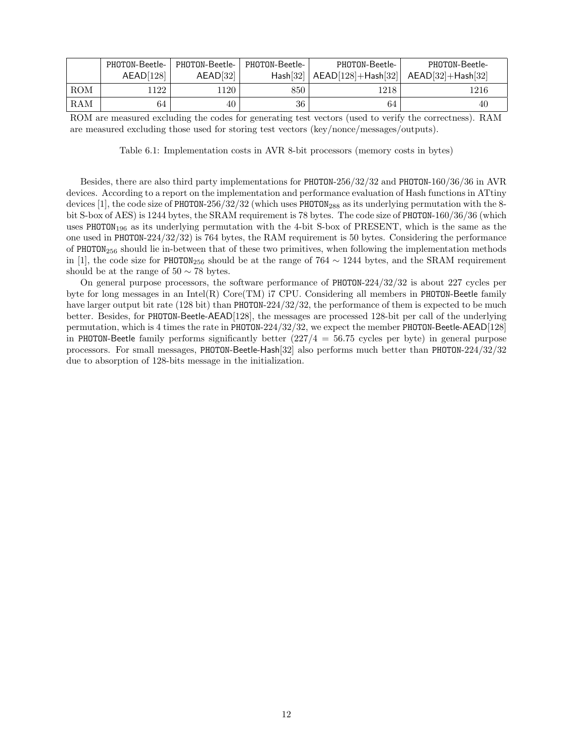|            | PHOTON-Beetle- | PHOTON-Beetle- | PHOTON-Beetle- | PHOTON-Beetle-                                    | PHOTON-Beetle- |
|------------|----------------|----------------|----------------|---------------------------------------------------|----------------|
|            | AEAD[128]      | AEAD[32]       |                | Hash[32]   AEAD[128]+Hash[32]   AEAD[32]+Hash[32] |                |
| <b>ROM</b> | ' 122          | 1120           | 850            | 1218                                              | 1216           |
| RAM        | 64             | 40             | 36             | 64                                                | 40             |

ROM are measured excluding the codes for generating test vectors (used to verify the correctness). RAM are measured excluding those used for storing test vectors (key/nonce/messages/outputs).

Table 6.1: Implementation costs in AVR 8-bit processors (memory costs in bytes)

Besides, there are also third party implementations for PHOTON-256/32/32 and PHOTON-160/36/36 in AVR devices. According to a report on the implementation and performance evaluation of Hash functions in ATtiny devices [1], the code size of PHOTON-256/32/32 (which uses PHOTON<sub>288</sub> as its underlying permutation with the 8bit S-box of AES) is 1244 bytes, the SRAM requirement is 78 bytes. The code size of PHOTON-160/36/36 (which uses PHOTON<sub>196</sub> as its underlying permutation with the 4-bit S-box of PRESENT, which is the same as the one used in PHOTON-224/32/32) is 764 bytes, the RAM requirement is 50 bytes. Considering the performance of PHOTON<sub>256</sub> should lie in-between that of these two primitives, when following the implementation methods in [1], the code size for PHOTON<sub>256</sub> should be at the range of 764  $\sim$  1244 bytes, and the SRAM requirement should be at the range of  $50 \sim 78$  bytes.

On general purpose processors, the software performance of PHOTON-224/32/32 is about 227 cycles per byte for long messages in an Intel(R) Core(TM) i7 CPU. Considering all members in PHOTON-Beetle family have larger output bit rate (128 bit) than PHOTON-224/32/32, the performance of them is expected to be much better. Besides, for PHOTON-Beetle-AEAD[128], the messages are processed 128-bit per call of the underlying permutation, which is 4 times the rate in PHOTON-224/32/32, we expect the member PHOTON-Beetle-AEAD[128] in PHOTON-Beetle family performs significantly better  $(227/4 = 56.75$  cycles per byte) in general purpose processors. For small messages, PHOTON-Beetle-Hash[32] also performs much better than PHOTON-224/32/32 due to absorption of 128-bits message in the initialization.